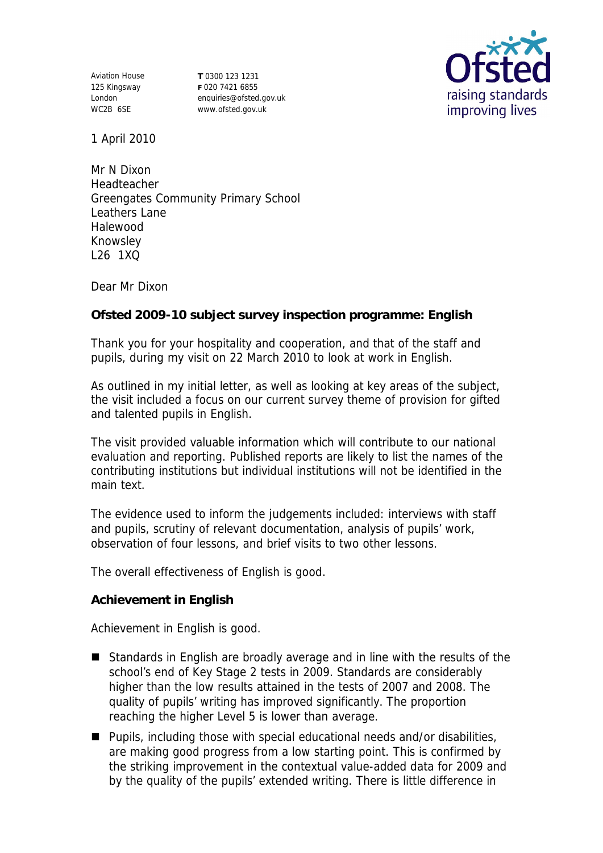Aviation House 125 Kingsway London WC2B 6SE

**T** 0300 123 1231 **F** 020 7421 6855 enquiries@ofsted.gov.uk www.ofsted.gov.uk



1 April 2010

Mr N Dixon Headteacher Greengates Community Primary School Leathers Lane Halewood Knowsley L26 1XQ

Dear Mr Dixon

**Ofsted 2009-10 subject survey inspection programme: English** 

Thank you for your hospitality and cooperation, and that of the staff and pupils, during my visit on 22 March 2010 to look at work in English.

As outlined in my initial letter, as well as looking at key areas of the subject, the visit included a focus on our current survey theme of provision for gifted and talented pupils in English.

The visit provided valuable information which will contribute to our national evaluation and reporting. Published reports are likely to list the names of the contributing institutions but individual institutions will not be identified in the main text.

The evidence used to inform the judgements included: interviews with staff and pupils, scrutiny of relevant documentation, analysis of pupils' work, observation of four lessons, and brief visits to two other lessons.

The overall effectiveness of English is good.

**Achievement in English**

Achievement in English is good.

- Standards in English are broadly average and in line with the results of the school's end of Key Stage 2 tests in 2009. Standards are considerably higher than the low results attained in the tests of 2007 and 2008. The quality of pupils' writing has improved significantly. The proportion reaching the higher Level 5 is lower than average.
- Pupils, including those with special educational needs and/or disabilities, are making good progress from a low starting point. This is confirmed by the striking improvement in the contextual value-added data for 2009 and by the quality of the pupils' extended writing. There is little difference in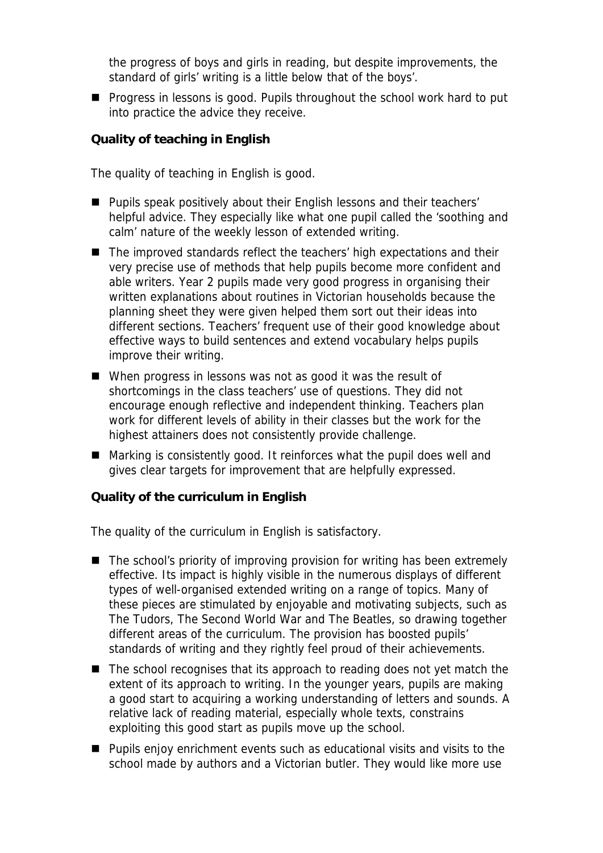the progress of boys and girls in reading, but despite improvements, the standard of girls' writing is a little below that of the boys'.

**Progress in lessons is good. Pupils throughout the school work hard to put** into practice the advice they receive.

**Quality of teaching in English**

The quality of teaching in English is good.

- Pupils speak positively about their English lessons and their teachers' helpful advice. They especially like what one pupil called the 'soothing and calm' nature of the weekly lesson of extended writing.
- The improved standards reflect the teachers' high expectations and their very precise use of methods that help pupils become more confident and able writers. Year 2 pupils made very good progress in organising their written explanations about routines in Victorian households because the planning sheet they were given helped them sort out their ideas into different sections. Teachers' frequent use of their good knowledge about effective ways to build sentences and extend vocabulary helps pupils improve their writing.
- When progress in lessons was not as good it was the result of shortcomings in the class teachers' use of questions. They did not encourage enough reflective and independent thinking. Teachers plan work for different levels of ability in their classes but the work for the highest attainers does not consistently provide challenge.
- Marking is consistently good. It reinforces what the pupil does well and gives clear targets for improvement that are helpfully expressed.

**Quality of the curriculum in English** 

The quality of the curriculum in English is satisfactory.

- The school's priority of improving provision for writing has been extremely effective. Its impact is highly visible in the numerous displays of different types of well-organised extended writing on a range of topics. Many of these pieces are stimulated by enjoyable and motivating subjects, such as The Tudors, The Second World War and The Beatles, so drawing together different areas of the curriculum. The provision has boosted pupils' standards of writing and they rightly feel proud of their achievements.
- $\blacksquare$  The school recognises that its approach to reading does not yet match the extent of its approach to writing. In the younger years, pupils are making a good start to acquiring a working understanding of letters and sounds. A relative lack of reading material, especially whole texts, constrains exploiting this good start as pupils move up the school.
- Pupils enjoy enrichment events such as educational visits and visits to the school made by authors and a Victorian butler. They would like more use